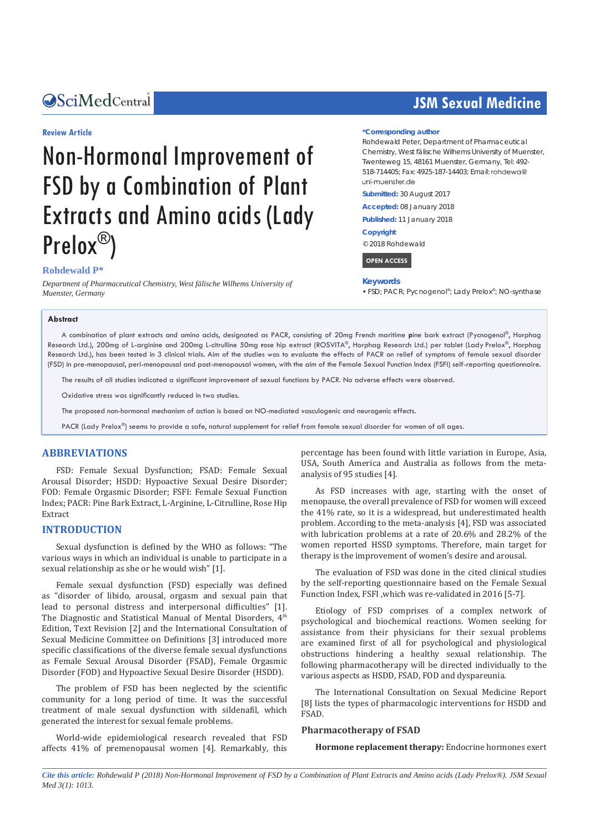### Central *Bringing Excellence in Open Access*

#### **Review Article**

# Non-Hormonal Improvement of FSD by a Combination of Plant Extracts and Amino acids (Lady Prelox®)

#### **Rohdewald P\***

*Department of Pharmaceutical Chemistry, West fälische Wilhems University of Muenster, Germany*

# **JSM Sexual Medicine**

#### **\*Corresponding author**

Rohdewald Peter, Department of Pharmaceutical Chemistry, West fälische Wilhems University of Muenster, Twenteweg 15, 48161 Muenster, Germany, Tel: 492- 518-714405; Fax: 4925-187-14403; Email: uni-muenter de

**Submitted:** 30 August 2017

**Accepted:** 08 January 2018

**Published:** 11 January 2018

#### **Copyright**

© 2018 Rohdewald

 **OPEN ACCESS** 

#### **Keywords**

• FSD; PACR; Pycnogenol®; Lady Prelox®; NO-synthase

#### **Abstract**

A combination of plant extracts and amino acids, designated as PACR, consisting of 20mg French maritime **p**ine bark extract (Pycnogenol®, Horphag Research Ltd.), 200mg of L-arginine and 200mg L-citrulline 50mg **r**ose hip extract (ROSVITA®, Horphag Research Ltd.) per tablet (Lady Prelox®, Horphag Research Ltd.), has been tested in 3 clinical trials. Aim of the studies was to evaluate the effects of PACR on relief of symptoms of female sexual disorder (FSD) in pre-menopausal, peri-menopausal and post-menopausal women, with the aim of the Female Sexual Function Index (FSFI) self-reporting questionnaire.

The results of all studies indicated a significant improvement of sexual functions by PACR. No adverse effects were observed.

Oxidative stress was significantly reduced in two studies.

The proposed non-hormonal mechanism of action is based on NO-mediated vasculogenic and neurogenic effects.

PACR (Lady Prelox®) seems to provide a safe, natural supplement for relief from female sexual disorder for women of all ages.

#### **ABBREVIATIONS**

FSD: Female Sexual Dysfunction; FSAD: Female Sexual Arousal Disorder; HSDD: Hypoactive Sexual Desire Disorder; FOD: Female Orgasmic Disorder; FSFI: Female Sexual Function Index; PACR: Pine Bark Extract, L-Arginine, L-Citrulline, Rose Hip Extract

#### **INTRODUCTION**

Sexual dysfunction is defined by the WHO as follows: "The various ways in which an individual is unable to participate in a sexual relationship as she or he would wish" [1].

Female sexual dysfunction (FSD) especially was defined as "disorder of libido, arousal, orgasm and sexual pain that lead to personal distress and interpersonal difficulties" [1]. The Diagnostic and Statistical Manual of Mental Disorders, 4<sup>th</sup> Edition, Text Revision [2] and the International Consultation of Sexual Medicine Committee on Definitions [3] introduced more specific classifications of the diverse female sexual dysfunctions as Female Sexual Arousal Disorder (FSAD), Female Orgasmic Disorder (FOD) and Hypoactive Sexual Desire Disorder (HSDD).

The problem of FSD has been neglected by the scientific community for a long period of time. It was the successful treatment of male sexual dysfunction with sildenafil, which generated the interest for sexual female problems.

World-wide epidemiological research revealed that FSD affects 41% of premenopausal women [4]. Remarkably, this

percentage has been found with little variation in Europe, Asia, USA, South America and Australia as follows from the metaanalysis of 95 studies [4].

As FSD increases with age, starting with the onset of menopause, the overall prevalence of FSD for women will exceed the 41% rate, so it is a widespread, but underestimated health problem. According to the meta-analysis [4], FSD was associated with lubrication problems at a rate of 20.6% and 28.2% of the women reported HSSD symptoms. Therefore, main target for therapy is the improvement of women's desire and arousal.

The evaluation of FSD was done in the cited clinical studies by the self-reporting questionnaire based on the Female Sexual Function Index, FSFI ,which was re-validated in 2016 [5-7].

Etiology of FSD comprises of a complex network of psychological and biochemical reactions. Women seeking for assistance from their physicians for their sexual problems are examined first of all for psychological and physiological obstructions hindering a healthy sexual relationship. The following pharmacotherapy will be directed individually to the various aspects as HSDD, FSAD, FOD and dyspareunia.

The International Consultation on Sexual Medicine Report [8] lists the types of pharmacologic interventions for HSDD and FSAD.

#### **Pharmacotherapy of FSAD**

**Hormone replacement therapy:** Endocrine hormones exert

*Cite this article: Rohdewald P (2018) Non-Hormonal Improvement of FSD by a Combination of Plant Extracts and Amino acids (Lady Prelox®). JSM Sexual Med 3(1): 1013.*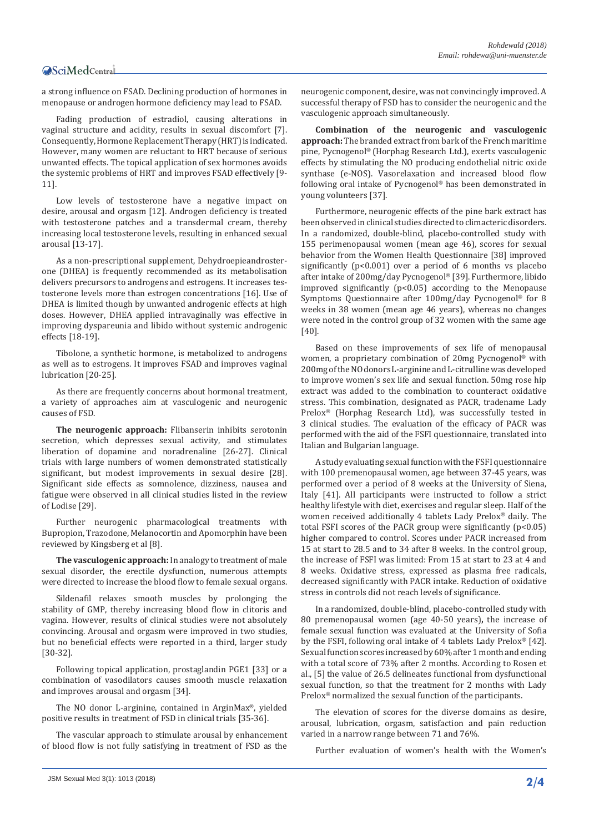# Central

a strong influence on FSAD. Declining production of hormones in menopause or androgen hormone deficiency may lead to FSAD.

Fading production of estradiol, causing alterations in vaginal structure and acidity, results in sexual discomfort [7]. Consequently, Hormone Replacement Therapy (HRT) is indicated. However, many women are reluctant to HRT because of serious unwanted effects. The topical application of sex hormones avoids the systemic problems of HRT and improves FSAD effectively [9- 11].

Low levels of testosterone have a negative impact on desire, arousal and orgasm [12]. Androgen deficiency is treated with testosterone patches and a transdermal cream, thereby increasing local testosterone levels, resulting in enhanced sexual arousal [13-17].

As a non-prescriptional supplement, Dehydroepieandrosterone (DHEA) is frequently recommended as its metabolisation delivers precursors to androgens and estrogens. It increases testosterone levels more than estrogen concentrations [16]. Use of DHEA is limited though by unwanted androgenic effects at high doses. However, DHEA applied intravaginally was effective in improving dyspareunia and libido without systemic androgenic effects [18-19].

Tibolone, a synthetic hormone, is metabolized to androgens as well as to estrogens. It improves FSAD and improves vaginal lubrication [20-25].

As there are frequently concerns about hormonal treatment, a variety of approaches aim at vasculogenic and neurogenic causes of FSD.

**The neurogenic approach:** Flibanserin inhibits serotonin secretion, which depresses sexual activity, and stimulates liberation of dopamine and noradrenaline [26-27]. Clinical trials with large numbers of women demonstrated statistically significant, but modest improvements in sexual desire [28]. Significant side effects as somnolence, dizziness, nausea and fatigue were observed in all clinical studies listed in the review of Lodise [29].

Further neurogenic pharmacological treatments with Bupropion, Trazodone, Melanocortin and Apomorphin have been reviewed by Kingsberg et al [8].

**The vasculogenic approach:** In analogy to treatment of male sexual disorder, the erectile dysfunction, numerous attempts were directed to increase the blood flow to female sexual organs.

Sildenafil relaxes smooth muscles by prolonging the stability of GMP, thereby increasing blood flow in clitoris and vagina. However, results of clinical studies were not absolutely convincing. Arousal and orgasm were improved in two studies, but no beneficial effects were reported in a third, larger study [30-32].

Following topical application, prostaglandin PGE1 [33] or a combination of vasodilators causes smooth muscle relaxation and improves arousal and orgasm [34].

The NO donor L-arginine, contained in ArginMax®, yielded positive results in treatment of FSD in clinical trials [35-36].

The vascular approach to stimulate arousal by enhancement of blood flow is not fully satisfying in treatment of FSD as the neurogenic component, desire, was not convincingly improved. A successful therapy of FSD has to consider the neurogenic and the vasculogenic approach simultaneously.

**Combination of the neurogenic and vasculogenic approach:** The branded extract from bark of the French maritime pine, Pycnogenol® (Horphag Research Ltd.), exerts vasculogenic effects by stimulating the NO producing endothelial nitric oxide synthase (e-NOS). Vasorelaxation and increased blood flow following oral intake of Pycnogenol® has been demonstrated in young volunteers [37].

Furthermore, neurogenic effects of the pine bark extract has been observed in clinical studies directed to climacteric disorders. In a randomized, double-blind, placebo-controlled study with 155 perimenopausal women (mean age 46), scores for sexual behavior from the Women Health Questionnaire [38] improved significantly  $(p<0.001)$  over a period of 6 months vs placebo after intake of 200mg/day Pycnogenol® [39]. Furthermore, libido improved significantly  $(p<0.05)$  according to the Menopause Symptoms Questionnaire after 100mg/day Pycnogenol® for 8 weeks in 38 women (mean age 46 years), whereas no changes were noted in the control group of 32 women with the same age [40].

Based on these improvements of sex life of menopausal women, a proprietary combination of 20mg Pycnogenol® with 200mg of the NO donors L-arginine and L-citrulline was developed to improve women's sex life and sexual function. 50mg rose hip extract was added to the combination to counteract oxidative stress. This combination, designated as PACR, tradename Lady Prelox® (Horphag Research Ltd), was successfully tested in 3 clinical studies. The evaluation of the efficacy of PACR was performed with the aid of the FSFI questionnaire, translated into Italian and Bulgarian language.

A study evaluating sexual function with the FSFI questionnaire with 100 premenopausal women, age between 37-45 years, was performed over a period of 8 weeks at the University of Siena, Italy [41]. All participants were instructed to follow a strict healthy lifestyle with diet, exercises and regular sleep. Half of the women received additionally 4 tablets Lady Prelox® daily. The total FSFI scores of the PACR group were significantly (p<0.05) higher compared to control. Scores under PACR increased from 15 at start to 28.5 and to 34 after 8 weeks. In the control group, the increase of FSFI was limited: From 15 at start to 23 at 4 and 8 weeks. Oxidative stress, expressed as plasma free radicals, decreased significantly with PACR intake. Reduction of oxidative stress in controls did not reach levels of significance.

In a randomized, double-blind, placebo-controlled study with 80 premenopausal women (age 40-50 years)**,** the increase of female sexual function was evaluated at the University of Sofia by the FSFI, following oral intake of 4 tablets Lady Prelox® [42]. Sexual function scores increased by 60% after 1 month and ending with a total score of 73% after 2 months. According to Rosen et al., [5] the value of 26.5 delineates functional from dysfunctional sexual function, so that the treatment for 2 months with Lady Prelox® normalized the sexual function of the participants.

The elevation of scores for the diverse domains as desire, arousal, lubrication, orgasm, satisfaction and pain reduction varied in a narrow range between 71 and 76%.

Further evaluation of women's health with the Women's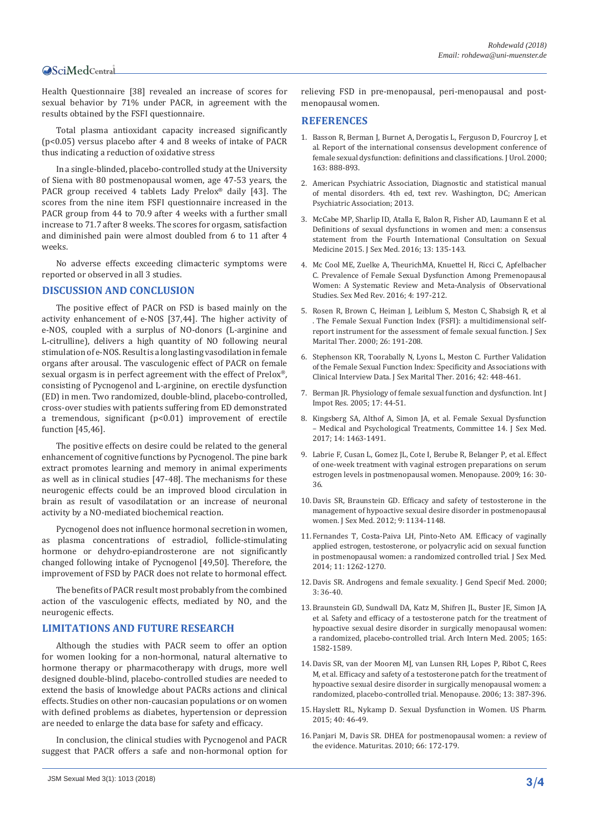## Central

Health Questionnaire [38] revealed an increase of scores for sexual behavior by 71% under PACR, in agreement with the results obtained by the FSFI questionnaire.

Total plasma antioxidant capacity increased significantly (p<0.05) versus placebo after 4 and 8 weeks of intake of PACR thus indicating a reduction of oxidative stress

In a single-blinded, placebo-controlled study at the University of Siena with 80 postmenopausal women, age 47-53 years, the PACR group received 4 tablets Lady Prelox® daily [43]. The scores from the nine item FSFI questionnaire increased in the PACR group from 44 to 70.9 after 4 weeks with a further small increase to 71.7 after 8 weeks. The scores for orgasm, satisfaction and diminished pain were almost doubled from 6 to 11 after 4 weeks.

No adverse effects exceeding climacteric symptoms were reported or observed in all 3 studies.

#### **DISCUSSION AND CONCLUSION**

The positive effect of PACR on FSD is based mainly on the activity enhancement of e-NOS [37,44]. The higher activity of e-NOS, coupled with a surplus of NO-donors (L-arginine and L-citrulline), delivers a high quantity of NO following neural stimulation of e-NOS. Result is a long lasting vasodilation in female organs after arousal. The vasculogenic effect of PACR on female sexual orgasm is in perfect agreement with the effect of Prelox®, consisting of Pycnogenol and L-arginine, on erectile dysfunction (ED) in men. Two randomized, double-blind, placebo-controlled, cross-over studies with patients suffering from ED demonstrated a tremendous, significant  $(p<0.01)$  improvement of erectile function [45,46].

The positive effects on desire could be related to the general enhancement of cognitive functions by Pycnogenol. The pine bark extract promotes learning and memory in animal experiments as well as in clinical studies [47-48]. The mechanisms for these neurogenic effects could be an improved blood circulation in brain as result of vasodilatation or an increase of neuronal activity by a NO-mediated biochemical reaction.

Pycnogenol does not influence hormonal secretion in women, as plasma concentrations of estradiol, follicle-stimulating hormone or dehydro-epiandrosterone are not significantly changed following intake of Pycnogenol [49,50]. Therefore, the improvement of FSD by PACR does not relate to hormonal effect.

The benefits of PACR result most probably from the combined action of the vasculogenic effects, mediated by NO, and the neurogenic effects.

#### **LIMITATIONS AND FUTURE RESEARCH**

Although the studies with PACR seem to offer an option for women looking for a non-hormonal, natural alternative to hormone therapy or pharmacotherapy with drugs, more well designed double-blind, placebo-controlled studies are needed to extend the basis of knowledge about PACRs actions and clinical effects. Studies on other non-caucasian populations or on women with defined problems as diabetes, hypertension or depression are needed to enlarge the data base for safety and efficacy.

In conclusion, the clinical studies with Pycnogenol and PACR suggest that PACR offers a safe and non-hormonal option for relieving FSD in pre-menopausal, peri-menopausal and postmenopausal women.

#### **REFERENCES**

- 1. [Basson R, Berman J, Burnet A, Derogatis L, Ferguson D, Fourcroy J, et](https://www.ncbi.nlm.nih.gov/pubmed/10688001)  [al. Report of the international consensus development conference of](https://www.ncbi.nlm.nih.gov/pubmed/10688001)  [female sexual dysfunction: definitions and classifications. J Urol. 2000;](https://www.ncbi.nlm.nih.gov/pubmed/10688001)  [163: 888-893.](https://www.ncbi.nlm.nih.gov/pubmed/10688001)
- 2. American Psychiatric Association, Diagnostic and statistical manual of mental disorders. 4th ed, text rev. Washington, DC; American Psychiatric Association; 2013.
- 3. [McCabe MP, Sharlip ID, Atalla E, Balon R, Fisher AD, Laumann E et al.](https://www.ncbi.nlm.nih.gov/pubmed/26953828)  [Definitions of sexual dysfunctions in women and men: a consensus](https://www.ncbi.nlm.nih.gov/pubmed/26953828)  [statement from the Fourth International Consultation on Sexual](https://www.ncbi.nlm.nih.gov/pubmed/26953828)  [Medicine 2015. J Sex Med. 2016; 13: 135-143.](https://www.ncbi.nlm.nih.gov/pubmed/26953828)
- 4. [Mc Cool ME, Zuelke A, TheurichMA, Knuettel H, Ricci C, Apfelbacher](https://www.ncbi.nlm.nih.gov/pubmed/27871953)  [C. Prevalence of Female Sexual Dysfunction Among Premenopausal](https://www.ncbi.nlm.nih.gov/pubmed/27871953)  [Women: A Systematic Review and Meta-Analysis of Observational](https://www.ncbi.nlm.nih.gov/pubmed/27871953)  [Studies. Sex Med Rev. 2016; 4: 197-212.](https://www.ncbi.nlm.nih.gov/pubmed/27871953)
- 5. [Rosen R, Brown C, Heiman J, Leiblum S, Meston C, Shabsigh R, et al](https://www.ncbi.nlm.nih.gov/pubmed/10782451)  [. The Female Sexual Function Index \(FSFI\): a multidimensional self](https://www.ncbi.nlm.nih.gov/pubmed/10782451)[report instrument for the assessment of female sexual function. J Sex](https://www.ncbi.nlm.nih.gov/pubmed/10782451)  [Marital Ther. 2000; 26: 191-208.](https://www.ncbi.nlm.nih.gov/pubmed/10782451)
- 6. [Stephenson KR, Toorabally N, Lyons L, Meston C. Further Validation](https://www.ncbi.nlm.nih.gov/pubmed/26098130)  [of the Female Sexual Function Index: Specificity and Associations with](https://www.ncbi.nlm.nih.gov/pubmed/26098130)  [Clinical Interview Data. J Sex Marital Ther. 2016; 42: 448-461.](https://www.ncbi.nlm.nih.gov/pubmed/26098130)
- 7. [Berman JR. Physiology of female sexual function and dysfunction. Int J](https://www.ncbi.nlm.nih.gov/pubmed/16391543)  [Impot Res. 2005; 17: 44-51.](https://www.ncbi.nlm.nih.gov/pubmed/16391543)
- 8. [Kingsberg SA, Althof A, Simon JA, et al. Female Sexual Dysfunction](https://www.ncbi.nlm.nih.gov/pubmed/29198504)  [– Medical and Psychological Treatments, Committee 14. J Sex Med.](https://www.ncbi.nlm.nih.gov/pubmed/29198504)  [2017; 14: 1463-1491.](https://www.ncbi.nlm.nih.gov/pubmed/29198504)
- 9. [Labrie F, Cusan L, Gomez JL, Cote I, Berube R, Belanger P, et al. Effect](https://www.ncbi.nlm.nih.gov/pubmed/18820592)  [of one-week treatment with vaginal estrogen preparations on serum](https://www.ncbi.nlm.nih.gov/pubmed/18820592)  [estrogen levels in postmenopausal women. Menopause. 2009; 16: 30-](https://www.ncbi.nlm.nih.gov/pubmed/18820592) [36.](https://www.ncbi.nlm.nih.gov/pubmed/18820592)
- 10.[Davis SR, Braunstein GD. Efficacy and safety of testosterone in the](https://www.ncbi.nlm.nih.gov/pubmed/22304681)  [management of hypoactive sexual desire disorder in postmenopausal](https://www.ncbi.nlm.nih.gov/pubmed/22304681)  [women. J Sex Med. 2012; 9: 1134-1148.](https://www.ncbi.nlm.nih.gov/pubmed/22304681)
- 11.[Fernandes T, Costa-Paiva LH, Pinto-Neto AM. Efficacy of vaginally](https://www.ncbi.nlm.nih.gov/pubmed/24612478)  [applied estrogen, testosterone, or polyacrylic acid on sexual function](https://www.ncbi.nlm.nih.gov/pubmed/24612478)  [in postmenopausal women: a randomized controlled trial. J Sex Med.](https://www.ncbi.nlm.nih.gov/pubmed/24612478)  [2014; 11: 1262-1270.](https://www.ncbi.nlm.nih.gov/pubmed/24612478)
- 12.[Davis SR. Androgens and female sexuality. J Gend Specif Med. 2000;](https://www.ncbi.nlm.nih.gov/pubmed/11253235)  [3: 36-40.](https://www.ncbi.nlm.nih.gov/pubmed/11253235)
- 13.[Braunstein GD, Sundwall DA, Katz M, Shifren JL, Buster JE, Simon JA,](https://www.ncbi.nlm.nih.gov/pubmed/16043675)  [et al. Safety and efficacy of a testosterone patch for the treatment of](https://www.ncbi.nlm.nih.gov/pubmed/16043675)  [hypoactive sexual desire disorder in surgically menopausal women:](https://www.ncbi.nlm.nih.gov/pubmed/16043675)  [a randomized, placebo-controlled trial. Arch Intern Med. 2005; 165:](https://www.ncbi.nlm.nih.gov/pubmed/16043675)  [1582-1589.](https://www.ncbi.nlm.nih.gov/pubmed/16043675)
- 14.[Davis SR, van der Mooren MJ, van Lunsen RH, Lopes P, Ribot C, Rees](https://www.ncbi.nlm.nih.gov/pubmed/16735935)  [M, et al. Efficacy and safety of a testosterone patch for the treatment of](https://www.ncbi.nlm.nih.gov/pubmed/16735935)  [hypoactive sexual desire disorder in surgically menopausal women: a](https://www.ncbi.nlm.nih.gov/pubmed/16735935)  [randomized, placebo-controlled trial. Menopause. 2006; 13: 387-396.](https://www.ncbi.nlm.nih.gov/pubmed/16735935)
- 15.[Hayslett RL, Nykamp D. Sexual Dysfunction in Women. US Pharm.](https://www.uspharmacist.com/article/sexual-dysfunction-in-women)  [2015; 40: 46-49.](https://www.uspharmacist.com/article/sexual-dysfunction-in-women)
- 16.[Panjari M, Davis SR. DHEA for postmenopausal women: a review of](https://www.ncbi.nlm.nih.gov/pubmed/20089375)  [the evidence. Maturitas. 2010; 66: 172-179.](https://www.ncbi.nlm.nih.gov/pubmed/20089375)